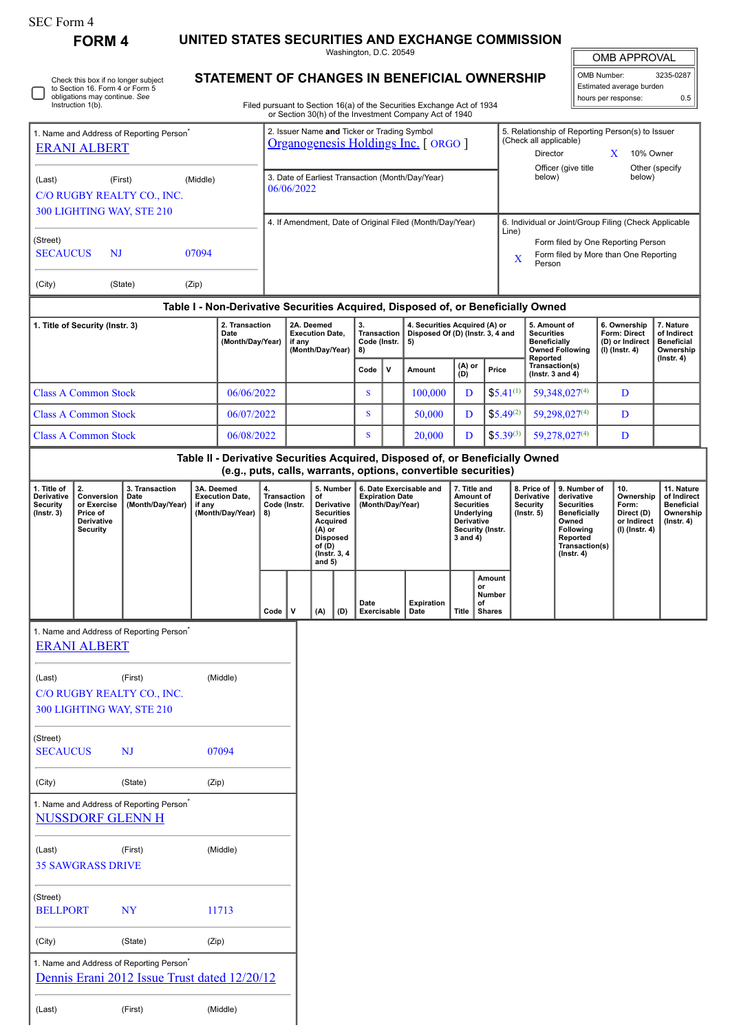## SEC Form 4

**FORM 4 UNITED STATES SECURITIES AND EXCHANGE COMMISSION**

| (Last)                                                                        | UNI 4<br>Check this box if no longer subject<br>to Section 16. Form 4 or Form 5<br>obligations may continue. See<br>Instruction 1(b).<br><b>ERANI ALBERT</b><br>(First) | 1. Name and Address of Reporting Person <sup>®</sup><br>C/O RUGBY REALTY CO., INC.<br>300 LIGHTING WAY, STE 210 | (Middle)                                                           | 51712      | 06/06/2022                                                         |   |                                                                                                                                      |                                                         | LV AIV<br>Washington, D.C. 20549                                      |                                                                                             | NULLANUL UUMINIUJUN<br>STATEMENT OF CHANGES IN BENEFICIAL OWNERSHIP<br>Filed pursuant to Section 16(a) of the Securities Exchange Act of 1934<br>or Section 30(h) of the Investment Company Act of 1940<br>2. Issuer Name and Ticker or Trading Symbol<br>Organogenesis Holdings Inc. [ ORGO ]<br>3. Date of Earliest Transaction (Month/Day/Year)<br>4. If Amendment, Date of Original Filed (Month/Day/Year) |                                                                                                                                                                              |                                                                                                                                         |               | (Check all applicable)<br>Director<br>below)                            | OMB Number:<br>5. Relationship of Reporting Person(s) to Issuer<br>Officer (give title<br>6. Individual or Joint/Group Filing (Check Applicable | X                                                                              | OMB APPROVAL<br>Estimated average burden<br>hours per response:<br>10% Owner<br>below) | 3235-0287<br>0.5<br>Other (specify                                              |
|-------------------------------------------------------------------------------|-------------------------------------------------------------------------------------------------------------------------------------------------------------------------|-----------------------------------------------------------------------------------------------------------------|--------------------------------------------------------------------|------------|--------------------------------------------------------------------|---|--------------------------------------------------------------------------------------------------------------------------------------|---------------------------------------------------------|-----------------------------------------------------------------------|---------------------------------------------------------------------------------------------|----------------------------------------------------------------------------------------------------------------------------------------------------------------------------------------------------------------------------------------------------------------------------------------------------------------------------------------------------------------------------------------------------------------|------------------------------------------------------------------------------------------------------------------------------------------------------------------------------|-----------------------------------------------------------------------------------------------------------------------------------------|---------------|-------------------------------------------------------------------------|-------------------------------------------------------------------------------------------------------------------------------------------------|--------------------------------------------------------------------------------|----------------------------------------------------------------------------------------|---------------------------------------------------------------------------------|
| (Street)<br><b>SECAUCUS</b><br>(City)                                         | $N_{\rm J}$                                                                                                                                                             | (State)                                                                                                         | 07094<br>(Zip)                                                     |            |                                                                    |   |                                                                                                                                      |                                                         |                                                                       |                                                                                             | Table I - Non-Derivative Securities Acquired, Disposed of, or Beneficially Owned                                                                                                                                                                                                                                                                                                                               |                                                                                                                                                                              |                                                                                                                                         | Line)<br>X    | Person                                                                  | Form filed by One Reporting Person<br>Form filed by More than One Reporting                                                                     |                                                                                |                                                                                        |                                                                                 |
| 2. Transaction<br>1. Title of Security (Instr. 3)<br>Date<br>(Month/Day/Year) |                                                                                                                                                                         |                                                                                                                 |                                                                    |            | 2A. Deemed<br><b>Execution Date,</b><br>if any<br>(Month/Day/Year) |   | 3.<br>8)<br>Code                                                                                                                     | <b>Transaction</b><br>Code (Instr.<br>5)<br>v<br>Amount |                                                                       | 4. Securities Acquired (A) or<br>Disposed Of (D) (Instr. 3, 4 and<br>(A) or<br>Price<br>(D) |                                                                                                                                                                                                                                                                                                                                                                                                                |                                                                                                                                                                              | 5. Amount of<br><b>Securities</b><br><b>Beneficially</b><br><b>Owned Following</b><br>Reported<br>Transaction(s)<br>(Instr. 3 and $4$ ) |               | 6. Ownership<br>Form: Direct<br>(D) or Indirect<br>$(I)$ (Instr. 4)     |                                                                                                                                                 | 7. Nature<br>of Indirect<br><b>Beneficial</b><br>Ownership<br>$($ lnstr. 4 $)$ |                                                                                        |                                                                                 |
|                                                                               | <b>Class A Common Stock</b>                                                                                                                                             |                                                                                                                 |                                                                    | 06/06/2022 |                                                                    |   |                                                                                                                                      |                                                         | <sub>S</sub>                                                          |                                                                                             | 100,000                                                                                                                                                                                                                                                                                                                                                                                                        | D                                                                                                                                                                            |                                                                                                                                         | $$5.41^{(1)}$ |                                                                         | 59,348,027(4)                                                                                                                                   |                                                                                | D                                                                                      |                                                                                 |
| <b>Class A Common Stock</b><br>06/07/2022                                     |                                                                                                                                                                         |                                                                                                                 |                                                                    |            |                                                                    | S |                                                                                                                                      | 50,000                                                  | D                                                                     |                                                                                             | $$5.49^{(2)}$                                                                                                                                                                                                                                                                                                                                                                                                  | 59,298,027(4)                                                                                                                                                                |                                                                                                                                         |               | D                                                                       |                                                                                                                                                 |                                                                                |                                                                                        |                                                                                 |
| 06/08/2022<br><b>Class A Common Stock</b>                                     |                                                                                                                                                                         |                                                                                                                 |                                                                    |            |                                                                    |   | <sub>S</sub>                                                                                                                         |                                                         | 20,000                                                                | D                                                                                           |                                                                                                                                                                                                                                                                                                                                                                                                                | $$5.39^{(3)}$                                                                                                                                                                |                                                                                                                                         | 59,278,027(4) |                                                                         | D                                                                                                                                               |                                                                                |                                                                                        |                                                                                 |
|                                                                               |                                                                                                                                                                         |                                                                                                                 |                                                                    |            |                                                                    |   |                                                                                                                                      |                                                         |                                                                       |                                                                                             | Table II - Derivative Securities Acquired, Disposed of, or Beneficially Owned                                                                                                                                                                                                                                                                                                                                  |                                                                                                                                                                              |                                                                                                                                         |               |                                                                         |                                                                                                                                                 |                                                                                |                                                                                        |                                                                                 |
| 1. Title of<br>Derivative<br><b>Security</b><br>$($ lnstr. 3 $)$              | 2.<br>Conversion<br>or Exercise<br>Price of<br>Derivative<br>Security                                                                                                   | 3. Transaction<br>Date<br>(Month/Day/Year)                                                                      | 3A. Deemed<br><b>Execution Date,</b><br>if any<br>(Month/Day/Year) |            | 4.<br><b>Transaction</b><br>Code (Instr.<br>8)                     |   | 5. Number<br>of<br>Derivative<br><b>Securities</b><br>Acquired<br>$(A)$ or<br><b>Disposed</b><br>of (D)<br>(Instr. 3, 4)<br>and $5)$ |                                                         | 6. Date Exercisable and<br><b>Expiration Date</b><br>(Month/Day/Year) |                                                                                             |                                                                                                                                                                                                                                                                                                                                                                                                                | (e.g., puts, calls, warrants, options, convertible securities)<br>7. Title and<br>Amount of<br><b>Securities</b><br>Underlying<br>Derivative<br>Security (Instr.<br>3 and 4) |                                                                                                                                         |               | 8. Price of<br><b>Derivative</b><br><b>Security</b><br>$($ Instr. 5 $)$ | 9. Number of<br>derivative<br><b>Securities</b><br><b>Beneficially</b><br>Owned<br>Following<br>Reported<br>Transaction(s)<br>$($ Instr. 4 $)$  | 10.<br>Form:                                                                   | Ownership<br>Direct (D)<br>or Indirect<br>$(l)$ (lnstr. 4)                             | 11. Nature<br>of Indirect<br><b>Beneficial</b><br>Ownership<br>$($ lnstr. 4 $)$ |
|                                                                               |                                                                                                                                                                         |                                                                                                                 |                                                                    |            | Code $ V $                                                         |   | (A)                                                                                                                                  | (D)                                                     | Date<br>Exercisable                                                   |                                                                                             | <b>Expiration</b><br>Date                                                                                                                                                                                                                                                                                                                                                                                      | Title                                                                                                                                                                        | Amount<br>or<br>Number<br>of<br><b>Shares</b>                                                                                           |               |                                                                         |                                                                                                                                                 |                                                                                |                                                                                        |                                                                                 |
|                                                                               | <b>ERANI ALBERT</b>                                                                                                                                                     | 1. Name and Address of Reporting Person <sup>*</sup>                                                            |                                                                    |            |                                                                    |   |                                                                                                                                      |                                                         |                                                                       |                                                                                             |                                                                                                                                                                                                                                                                                                                                                                                                                |                                                                                                                                                                              |                                                                                                                                         |               |                                                                         |                                                                                                                                                 |                                                                                |                                                                                        |                                                                                 |
| (Last)                                                                        |                                                                                                                                                                         | (First)<br>C/O RUGBY REALTY CO., INC.<br>300 LIGHTING WAY, STE 210                                              |                                                                    | (Middle)   |                                                                    |   |                                                                                                                                      |                                                         |                                                                       |                                                                                             |                                                                                                                                                                                                                                                                                                                                                                                                                |                                                                                                                                                                              |                                                                                                                                         |               |                                                                         |                                                                                                                                                 |                                                                                |                                                                                        |                                                                                 |
| (Street)<br><b>SECAUCUS</b><br>07094<br>NJ                                    |                                                                                                                                                                         |                                                                                                                 |                                                                    |            |                                                                    |   |                                                                                                                                      |                                                         |                                                                       |                                                                                             |                                                                                                                                                                                                                                                                                                                                                                                                                |                                                                                                                                                                              |                                                                                                                                         |               |                                                                         |                                                                                                                                                 |                                                                                |                                                                                        |                                                                                 |
| (City)                                                                        |                                                                                                                                                                         | (State)                                                                                                         | (Zip)                                                              |            |                                                                    |   |                                                                                                                                      |                                                         |                                                                       |                                                                                             |                                                                                                                                                                                                                                                                                                                                                                                                                |                                                                                                                                                                              |                                                                                                                                         |               |                                                                         |                                                                                                                                                 |                                                                                |                                                                                        |                                                                                 |
|                                                                               | <b>NUSSDORF GLENN H</b>                                                                                                                                                 | 1. Name and Address of Reporting Person <sup>'</sup>                                                            |                                                                    |            |                                                                    |   |                                                                                                                                      |                                                         |                                                                       |                                                                                             |                                                                                                                                                                                                                                                                                                                                                                                                                |                                                                                                                                                                              |                                                                                                                                         |               |                                                                         |                                                                                                                                                 |                                                                                |                                                                                        |                                                                                 |
| (Last)                                                                        | <b>35 SAWGRASS DRIVE</b>                                                                                                                                                | (First)                                                                                                         |                                                                    | (Middle)   |                                                                    |   |                                                                                                                                      |                                                         |                                                                       |                                                                                             |                                                                                                                                                                                                                                                                                                                                                                                                                |                                                                                                                                                                              |                                                                                                                                         |               |                                                                         |                                                                                                                                                 |                                                                                |                                                                                        |                                                                                 |

(Street) BELLPORT NY 11713

(City) (State) (Zip)

1. Name and Address of Reporting Person<sup>\*</sup> [Dennis Erani 2012 Issue Trust dated 12/20/12](http://www.sec.gov/cgi-bin/browse-edgar?action=getcompany&CIK=0001757455)

(Last) (First) (Middle)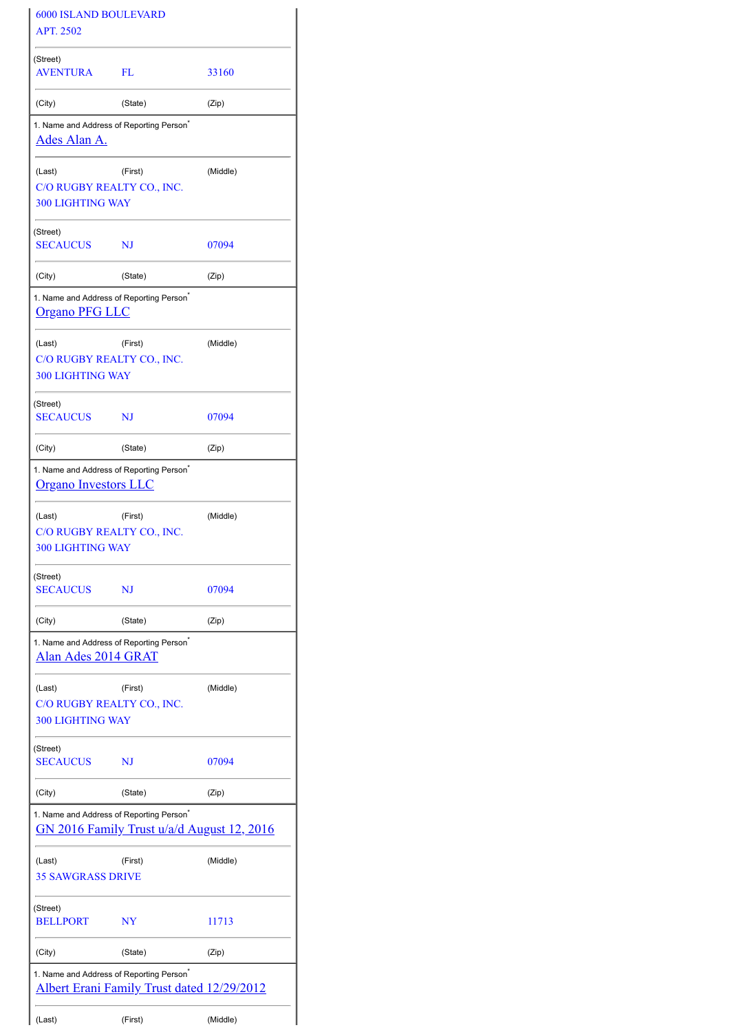| <b>6000 ISLAND BOULEVARD</b><br>APT. 2502 |                                                                                                    |          |
|-------------------------------------------|----------------------------------------------------------------------------------------------------|----------|
| (Street)                                  |                                                                                                    |          |
| <b>AVENTURA</b>                           | FL                                                                                                 | 33160    |
| (City)                                    | (State)                                                                                            | (Zip)    |
| <u>Ades Alan A.</u>                       | 1. Name and Address of Reporting Person <sup>*</sup>                                               |          |
| (Last)<br><b>300 LIGHTING WAY</b>         | (First)<br>C/O RUGBY REALTY CO., INC.                                                              | (Middle) |
| (Street)<br><b>SECAUCUS</b>               | NJ                                                                                                 | 07094    |
| (City)                                    | (State)                                                                                            | (Zip)    |
| <u>Organo PFG LLC</u>                     | 1. Name and Address of Reporting Person <sup>®</sup>                                               |          |
| (Last)<br><b>300 LIGHTING WAY</b>         | (First)<br>C/O RUGBY REALTY CO., INC.                                                              | (Middle) |
| (Street)<br><b>SECAUCUS</b>               | NJ                                                                                                 | 07094    |
| (City)                                    | (State)                                                                                            | (Zip)    |
| <b>Organo Investors LLC</b>               | 1. Name and Address of Reporting Person <sup>®</sup>                                               |          |
| (Last)<br><b>300 LIGHTING WAY</b>         | (First)<br>C/O RUGBY REALTY CO., INC.                                                              | (Middle) |
| (Street)<br><b>SECAUCUS</b>               | NJ                                                                                                 | 07094    |
| (City)                                    | (State)                                                                                            | (Zip)    |
| Alan Ades 2014 GRAT                       | 1. Name and Address of Reporting Person <sup>*</sup>                                               |          |
| (Last)<br><b>300 LIGHTING WAY</b>         | (First)<br>C/O RUGBY REALTY CO., INC.                                                              | (Middle) |
| (Street)<br><b>SECAUCUS</b>               | NJ                                                                                                 | 07094    |
| (City)                                    | (State)                                                                                            | (Zip)    |
|                                           | 1. Name and Address of Reporting Person <sup>*</sup><br>GN 2016 Family Trust u/a/d August 12, 2016 |          |
| (Last)<br><b>35 SAWGRASS DRIVE</b>        | (First)                                                                                            | (Middle) |
| (Street)<br><b>BELLPORT</b>               | NY                                                                                                 | 11713    |
| (City)                                    | (State)                                                                                            | (Zip)    |
|                                           | 1. Name and Address of Reporting Person <sup>®</sup><br>Albert Erani Family Trust dated 12/29/2012 |          |
| (Last)                                    | (First)                                                                                            | (Middle) |